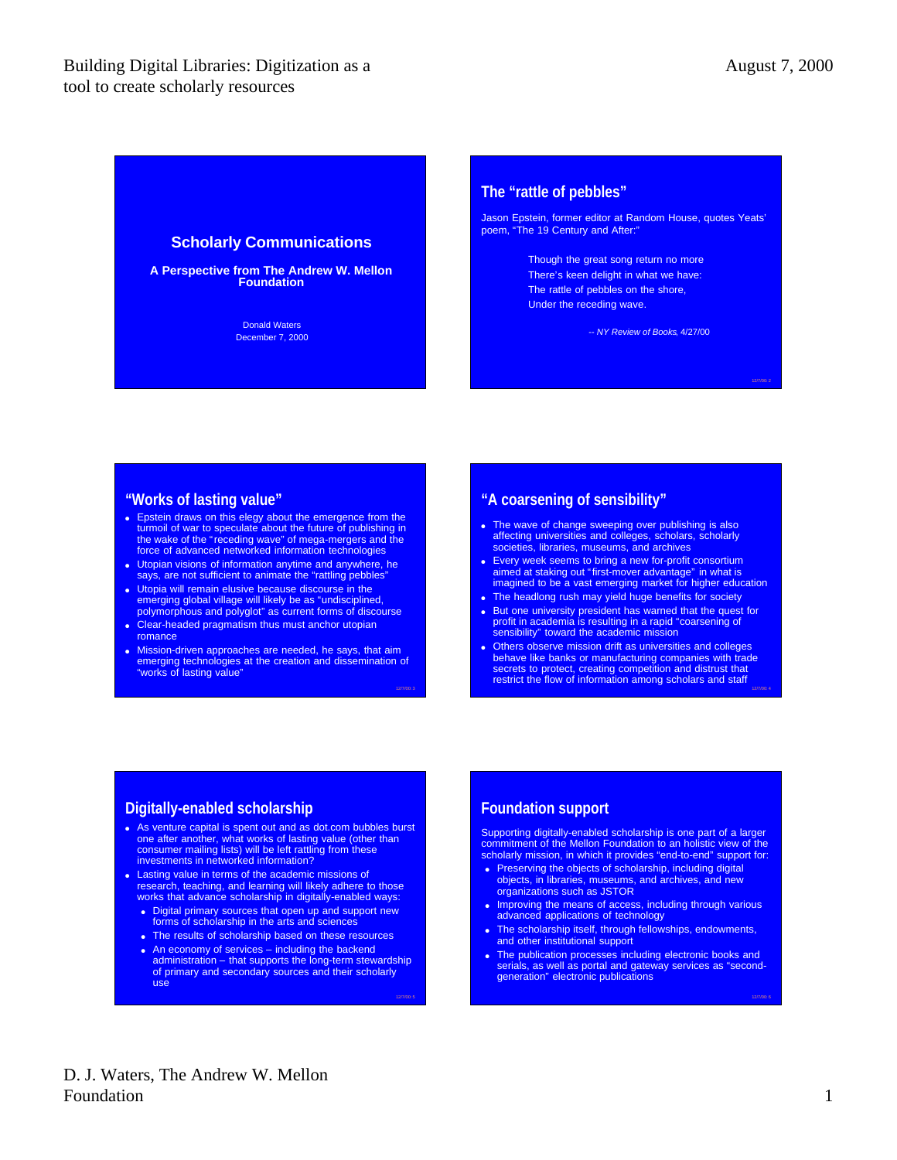12/7/00: 4

12/7/00: 6

### **Scholarly Communications**

**A Perspective from The Andrew W. Mellon Foundation**

> Donald Waters December 7, 2000

### **The "rattle of pebbles"**

Jason Epstein, former editor at Random House, quotes Yeats' poem, "The 19 Century and After:"

> Though the great song return no more There's keen delight in what we have: The rattle of pebbles on the shore, Under the receding wave.

> > *-- NY Review of Books*, 4/27/00

### **"Works of lasting value"**

- Epstein draws on this elegy about the emergence from the turmoil of war to speculate about the future of publishing in the wake of the "receding wave" of mega-mergers and the force of advanced networked information techn
- Utopian visions of information anytime and anywhere, he<br>says, are not sufficient to animate the "rattling pebbles"
- <sup>l</sup> Utopia will remain elusive because discourse in the emerging global village will likely be as "undisciplined, polymorphous and polyglot" as current forms of discourse
- Clear-headed pragmatism thus must anchor utopian romance
- Mission-driven approaches are needed, he says, that aim<br>emerging technologies at the creation and dissemination of<br>"works of lasting value"

12/7/00: 3

12/7/00: 5

### **"A coarsening of sensibility"**

- The wave of change sweeping over publishing is also affecting universities and colleges, scholars, scholarly societies, libraries, museums, and archives
- Every week seems to bring a new for-profit consortium aimed at staking out "first-mover advantage" in what is imagined to be a vast emerging market for higher education
- The headlong rush may yield huge benefits for society
- But one university president has warned that the quest for profit in academia is resulting in a rapid "coarsening of sensibility" toward the academic mission
- Others observe mission drift as universities and colleges<br>behave like banks or manufacturing companies with trade<br>secrets to protect, creating competition and distrust that<br>restrict the flow of information among scholars

### **Digitally-enabled scholarship**

- As venture capital is spent out and as dot.com bubbles burst one after another, what works of lasting value (other than consumer mailing lists) will be left rattling from these investments in networked information?
- <sup>l</sup> Lasting value in terms of the academic missions of research, teaching, and learning will likely adhere to those works that advance scholarship in digitally-enabled ways:
	- Digital primary sources that open up and support new<br>forms of scholarship in the arts and sciences
	- The results of scholarship based on these resources
	- $\bullet$  An economy of services including the backend administration – that supports the long-term stewardship of primary and secondary sources and their scholarly use

# **Foundation support**

Supporting digitally-enabled scholarship is one part of a larger commitment of the Mellon Foundation to an holistic view of the scholarly mission, in which it provides "end-to-end" support for:

- **Preserving the objects of scholarship, including digital**<br>objects, in libraries, museums, and archives, and new organizations such as JSTOR
- Improving the means of access, including through various<br>advanced applications of technology
- The scholarship itself, through fellowships, endowments,<br>and other institutional support
- The publication processes including electronic books and<br>serials, as well as portal and gateway services as "second-<br>generation" electronic publications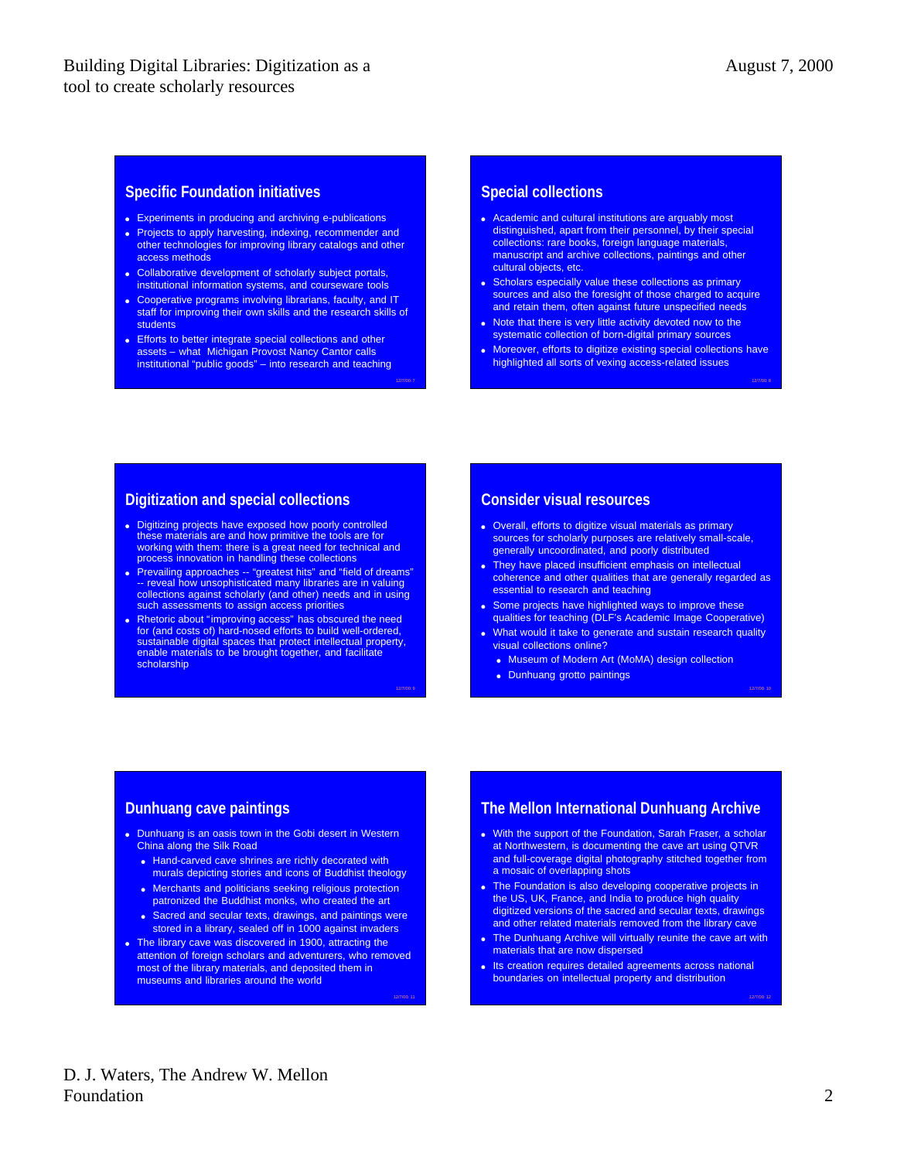12/7/00: 10

12/7/00: 12

### **Specific Foundation initiatives**

- Experiments in producing and archiving e-publications
- Projects to apply harvesting, indexing, recommender and other technologies for improving library catalogs and other access methods
- Collaborative development of scholarly subject portals, institutional information systems, and courseware tools
- Cooperative programs involving librarians, faculty, and IT staff for improving their own skills and the research skills of students
- **Efforts to better integrate special collections and other** assets – what Michigan Provost Nancy Cantor calls institutional "public goods" – into research and teaching

12/7/00: 7

12/7/00: 9

12/7/00: 11

#### **Special collections**

- Academic and cultural institutions are arguably most distinguished, apart from their personnel, by their special collections: rare books, foreign language materials, manuscript and archive collections, paintings and other cultural objects, etc.
- Scholars especially value these collections as primary sources and also the foresight of those charged to acquire and retain them, often against future unspecified needs
- Note that there is very little activity devoted now to the systematic collection of born-digital primary sources
- Moreover, efforts to digitize existing special collections have highlighted all sorts of vexing access-related issues

# **Digitization and special collections**

- **Digitizing projects have exposed how poorly controlled** these materials are and how primitive the tools are for working with them: there is a great need for technical and process innovation in handling these collections
- Prevailing approaches -- "greatest hits" and "field of dreams"<br>-- reveal how unsophisticated many libraries are in valuing<br>collections against scholarly (and other) needs and in using<br>such assessments to assign access pr
- <sup>l</sup> Rhetoric about "improving access" has obscured the need for (and costs of) hard-nosed efforts to build well-ordered, sustainable digital spaces that protect intellectual property, enable materials to be brought together, and facilitate scholarship

### **Consider visual resources**

- Overall, efforts to digitize visual materials as primary sources for scholarly purposes are relatively small-scale, generally uncoordinated, and poorly distributed
- They have placed insufficient emphasis on intellectual coherence and other qualities that are generally regarded as essential to research and teaching
- Some projects have highlighted ways to improve these qualities for teaching (DLF's Academic Image Cooperative)
- What would it take to generate and sustain research quality visual collections online?
	- Museum of Modern Art (MoMA) design collection
	- Dunhuang grotto paintings

# **Dunhuang cave paintings**

- Dunhuang is an oasis town in the Gobi desert in Western China along the Silk Road
	- Hand-carved cave shrines are richly decorated with murals depicting stories and icons of Buddhist theology
	- Merchants and politicians seeking religious protection patronized the Buddhist monks, who created the art
	- Sacred and secular texts, drawings, and paintings were stored in a library, sealed off in 1000 against invaders
- The library cave was discovered in 1900, attracting the attention of foreign scholars and adventurers, who removed most of the library materials, and deposited them in museums and libraries around the world

# **The Mellon International Dunhuang Archive**

- . With the support of the Foundation, Sarah Fraser, a scholar at Northwestern, is documenting the cave art using QTVR and full-coverage digital photography stitched together from a mosaic of overlapping shots
- The Foundation is also developing cooperative projects in the US, UK, France, and India to produce high quality digitized versions of the sacred and secular texts, drawings and other related materials removed from the library cave
- The Dunhuang Archive will virtually reunite the cave art with materials that are now dispersed
- Its creation requires detailed agreements across national boundaries on intellectual property and distribution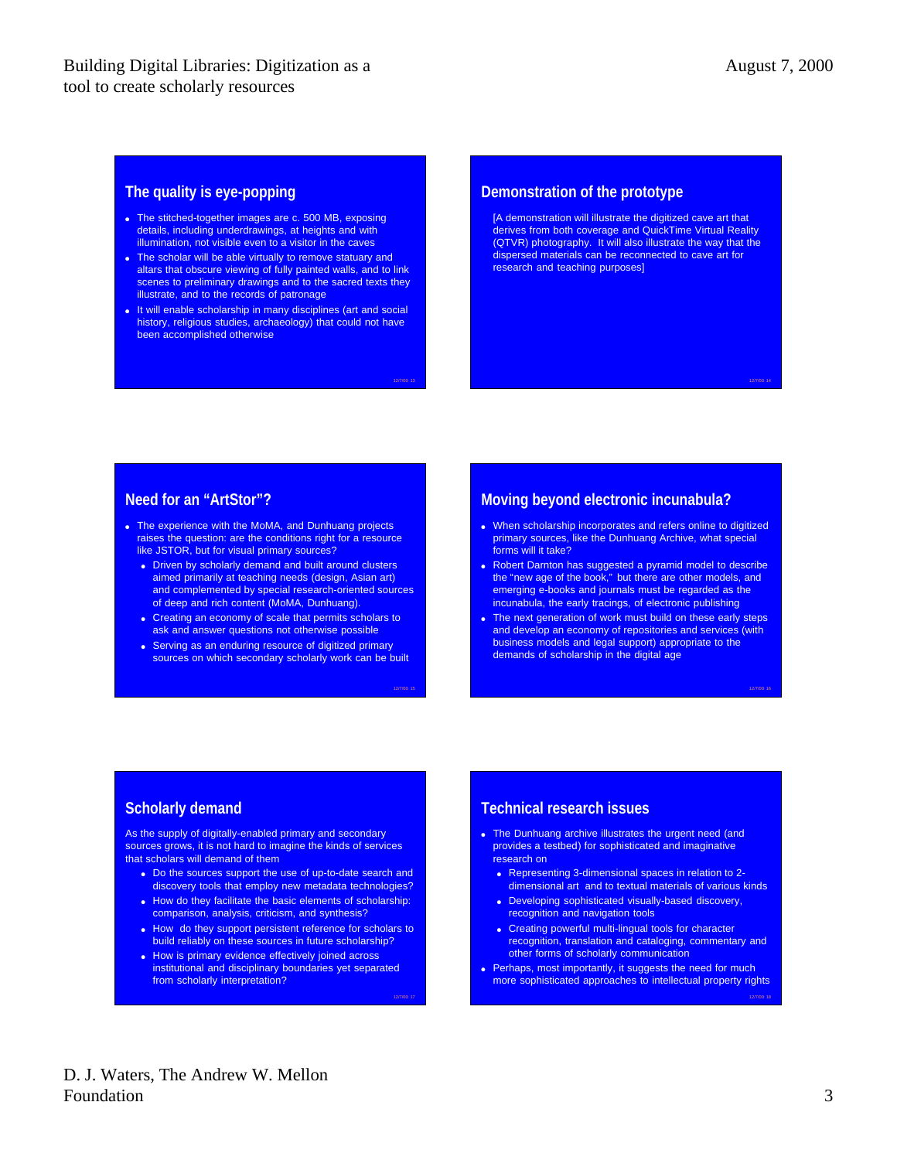12/7/00: 16

12/7/00: 18

### **The quality is eye-popping**

- The stitched-together images are c. 500 MB, exposing details, including underdrawings, at heights and with illumination, not visible even to a visitor in the caves
- The scholar will be able virtually to remove statuary and altars that obscure viewing of fully painted walls, and to link scenes to preliminary drawings and to the sacred texts they illustrate, and to the records of patronage
- **.** It will enable scholarship in many disciplines (art and social history, religious studies, archaeology) that could not have been accomplished otherwise

12/7/00: 13

12/7/00: 15

12/7/00: 17

#### **Demonstration of the prototype**

[A demonstration will illustrate the digitized cave art that derives from both coverage and QuickTime Virtual Reality (QTVR) photography. It will also illustrate the way that the dispersed materials can be reconnected to cave art for research and teaching purposes]

## **Need for an "ArtStor"?**

- The experience with the MoMA, and Dunhuang projects raises the question: are the conditions right for a resource like JSTOR, but for visual primary sources?
	- **Driven by scholarly demand and built around clusters** aimed primarily at teaching needs (design, Asian art) and complemented by special research-oriented sources of deep and rich content (MoMA, Dunhuang).
	- Creating an economy of scale that permits scholars to ask and answer questions not otherwise possible
	- Serving as an enduring resource of digitized primary sources on which secondary scholarly work can be built

# **Moving beyond electronic incunabula?**

- When scholarship incorporates and refers online to digitized primary sources, like the Dunhuang Archive, what special forms will it take?
- Robert Darnton has suggested a pyramid model to describe the "new age of the book," but there are other models, and emerging e-books and journals must be regarded as the incunabula, the early tracings, of electronic publishing
- The next generation of work must build on these early steps and develop an economy of repositories and services (with business models and legal support) appropriate to the demands of scholarship in the digital age

# **Scholarly demand**

As the supply of digitally-enabled primary and secondary sources grows, it is not hard to imagine the kinds of services that scholars will demand of them

- Do the sources support the use of up-to-date search and discovery tools that employ new metadata technologies?
- How do they facilitate the basic elements of scholarship: comparison, analysis, criticism, and synthesis?
- How do they support persistent reference for scholars to build reliably on these sources in future scholarship?
- How is primary evidence effectively joined across institutional and disciplinary boundaries yet separated from scholarly interpretation?

### **Technical research issues**

- The Dunhuang archive illustrates the urgent need (and provides a testbed) for sophisticated and imaginative research on
	- Representing 3-dimensional spaces in relation to 2dimensional art and to textual materials of various kinds
	- Developing sophisticated visually-based discovery, recognition and navigation tools
	- Creating powerful multi-lingual tools for character recognition, translation and cataloging, commentary and other forms of scholarly communication
- Perhaps, most importantly, it suggests the need for much more sophisticated approaches to intellectual property rights